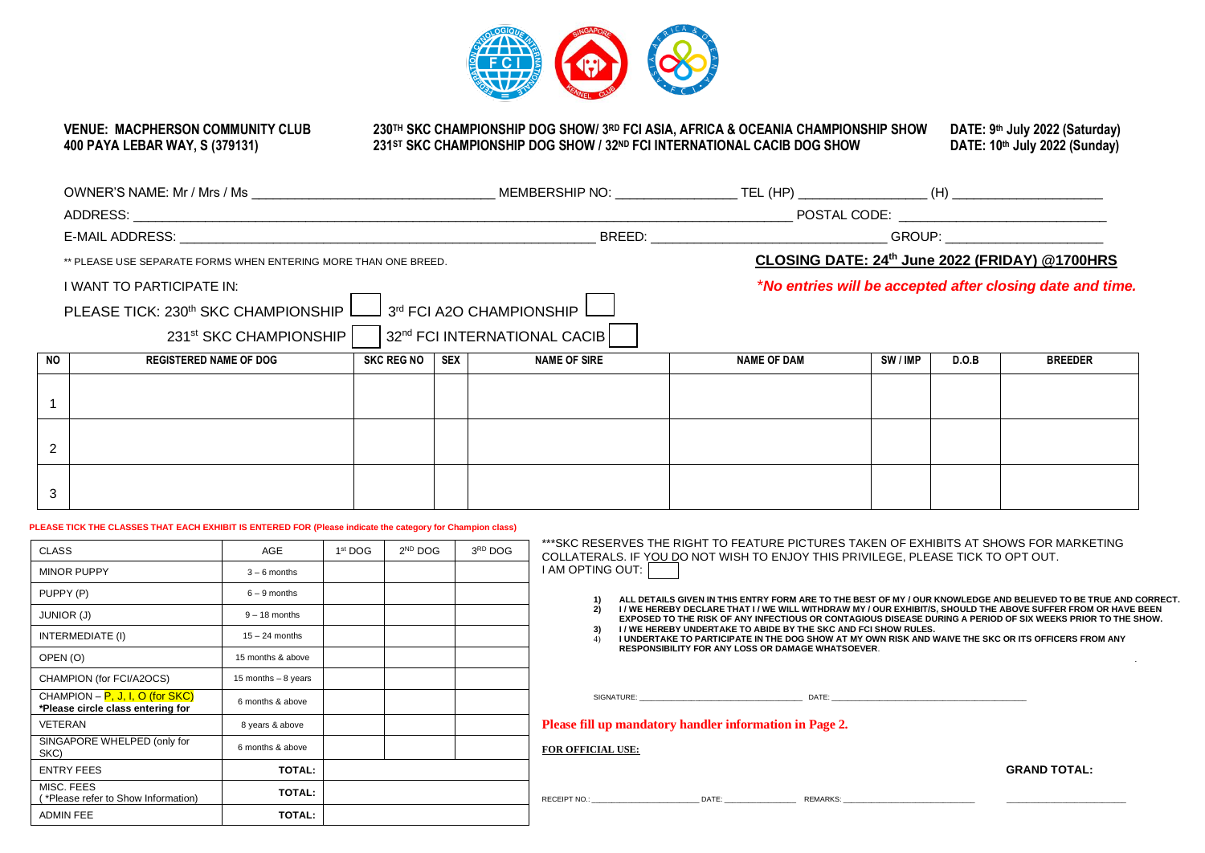

# **VENUE: MACPHERSON COMMUNITY CLUB**

#### **VENUE: MACPHERSON COMMUNITY CLUB 230TH SKC CHAMPIONSHIP DOG SHOW/ 3 RD FCI ASIA, AFRICA & OCEANIA CHAMPIONSHIP SHOW DATE: 9 400 PAYA LEBAR WAY, S (379131) 231ST SKC CHAMPIONSHIP DOG SHOW / 32 ND FCI INTERNATIONAL CACIB DOG SHOW DATE: 10th July 2022 (Sunday)**

**th July 2022 (Saturday)**

|                |                                                                                                                        |                                                                                    |                                                           |                     | POSTAL CODE: ________________________________ |        |       |                                                |  |
|----------------|------------------------------------------------------------------------------------------------------------------------|------------------------------------------------------------------------------------|-----------------------------------------------------------|---------------------|-----------------------------------------------|--------|-------|------------------------------------------------|--|
|                |                                                                                                                        |                                                                                    |                                                           |                     |                                               |        |       |                                                |  |
|                | ** PLEASE USE SEPARATE FORMS WHEN ENTERING MORE THAN ONE BREED.                                                        |                                                                                    |                                                           |                     |                                               |        |       | CLOSING DATE: 24th June 2022 (FRIDAY) @1700HRS |  |
|                | I WANT TO PARTICIPATE IN:<br>PLEASE TICK: 230 <sup>th</sup> SKC CHAMPIONSHIP L__<br>231 <sup>st</sup> SKC CHAMPIONSHIP | l 3ª FCI A2O CHAMPIONSHIP <sup>[</sup><br>32 <sup>nd</sup> FCI INTERNATIONAL CACIB | *No entries will be accepted after closing date and time. |                     |                                               |        |       |                                                |  |
| <b>NO</b>      | <b>REGISTERED NAME OF DOG</b>                                                                                          | SKC REG NO                                                                         | SEX I                                                     | <b>NAME OF SIRE</b> | <b>NAME OF DAM</b>                            | SW/IMP | D.O.B | <b>BREEDER</b>                                 |  |
|                |                                                                                                                        |                                                                                    |                                                           |                     |                                               |        |       |                                                |  |
| $\overline{2}$ |                                                                                                                        |                                                                                    |                                                           |                     |                                               |        |       |                                                |  |
| 3              |                                                                                                                        |                                                                                    |                                                           |                     |                                               |        |       |                                                |  |
|                | PLEASE TICK THE CLASSES THAT EACH EXHIBIT IS ENTERED FOR (Please indicate the category for Champion class)             |                                                                                    |                                                           |                     |                                               |        |       |                                                |  |

| PLEASE TIGN THE GLASSES THAT EACH EXHIBIT IS ENTERED FOR (PIESSE INDICATE THE CATEGOTY TOT GRAMPION CIASS) |  |  |                 |
|------------------------------------------------------------------------------------------------------------|--|--|-----------------|
|                                                                                                            |  |  | *** <b>c</b> kr |

| <b>CLASS</b>                                                           | <b>AGE</b>           | 1 <sup>st</sup> DOG | 2 <sup>ND</sup> DOG | 3RD DOG | ***SKC RESERVES THE RIGHT TO FEATURE PICTURES TAKEN OF EXHIBITS AT SHOWS FOR MARKETING<br>COLLATERALS. IF YOU DO NOT WISH TO ENJOY THIS PRIVILEGE, PLEASE TICK TO OPT OUT.                                                              |  |  |
|------------------------------------------------------------------------|----------------------|---------------------|---------------------|---------|-----------------------------------------------------------------------------------------------------------------------------------------------------------------------------------------------------------------------------------------|--|--|
| <b>MINOR PUPPY</b>                                                     | $3 - 6$ months       |                     |                     |         | <b>I AM OPTING OUT:</b>                                                                                                                                                                                                                 |  |  |
| PUPPY (P)                                                              | $6 - 9$ months       |                     |                     |         | ALL DETAILS GIVEN IN THIS ENTRY FORM ARE TO THE BEST OF MY / OUR KNOWLEDGE AND BELIEVED TO BE TRUE AND CORRECT.                                                                                                                         |  |  |
| <b>JUNIOR (J)</b>                                                      | $9 - 18$ months      |                     |                     |         | I / WE HEREBY DECLARE THAT I / WE WILL WITHDRAW MY / OUR EXHIBIT/S, SHOULD THE ABOVE SUFFER FROM OR HAVE BEEN<br>EXPOSED TO THE RISK OF ANY INFECTIOUS OR CONTAGIOUS DISEASE DURING A PERIOD OF SIX WEEKS PRIOR TO THE SHOW.            |  |  |
| INTERMEDIATE (I)                                                       | $15 - 24$ months     |                     |                     |         | I / WE HEREBY UNDERTAKE TO ABIDE BY THE SKC AND FCI SHOW RULES.<br>I UNDERTAKE TO PARTICIPATE IN THE DOG SHOW AT MY OWN RISK AND WAIVE THE SKC OR ITS OFFICERS FROM ANY                                                                 |  |  |
| OPEN (O)                                                               | 15 months & above    |                     |                     |         | <b>RESPONSIBILITY FOR ANY LOSS OR DAMAGE WHATSOEVER.</b>                                                                                                                                                                                |  |  |
| CHAMPION (for FCI/A2OCS)                                               | 15 months $-8$ years |                     |                     |         |                                                                                                                                                                                                                                         |  |  |
| CHAMPION – $P, J, I, O$ (for SKC)<br>*Please circle class entering for | 6 months & above     |                     |                     |         | SIGNATURE: WE ARREST AND THE STATE OF THE STATE OF THE STATE OF THE STATE OF THE STATE OF THE STATE OF THE STATE OF THE STATE OF THE STATE OF THE STATE OF THE STATE OF THE STATE OF THE STATE OF THE STATE OF THE STATE OF TH<br>DATE: |  |  |
| VETERAN                                                                | 8 years & above      |                     |                     |         | Please fill up mandatory handler information in Page 2.                                                                                                                                                                                 |  |  |
| SINGAPORE WHELPED (only for<br>SKC)                                    | 6 months & above     |                     |                     |         | <b>FOR OFFICIAL USE:</b>                                                                                                                                                                                                                |  |  |
| <b>ENTRY FEES</b>                                                      | <b>TOTAL:</b>        |                     |                     |         | <b>GRAND TOTAL:</b>                                                                                                                                                                                                                     |  |  |
| MISC. FEES<br>(*Please refer to Show Information)                      | <b>TOTAL:</b>        |                     |                     |         | DATE:<br><b>RECEIPT NO.:</b><br>REMARKS:                                                                                                                                                                                                |  |  |
| <b>ADMIN FEE</b>                                                       | <b>TOTAL:</b>        |                     |                     |         |                                                                                                                                                                                                                                         |  |  |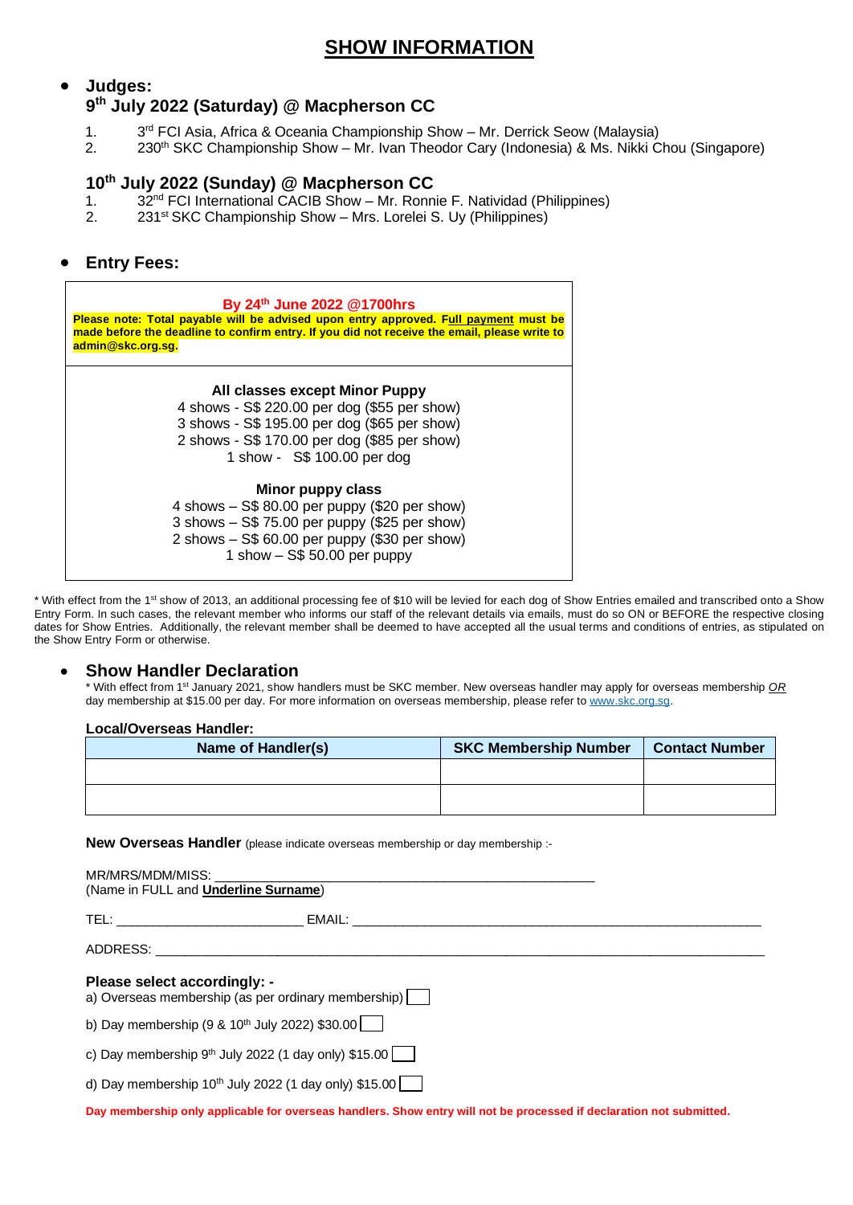## **SHOW INFORMATION**

## • **Judges: 9 th July 2022 (Saturday) @ Macpherson CC**

- $1<sub>1</sub>$ 3<sup>rd</sup> FCI Asia, Africa & Oceania Championship Show – Mr. Derrick Seow (Malaysia)
- 2. 230th SKC Championship Show Mr. Ivan Theodor Cary (Indonesia) & Ms. Nikki Chou (Singapore)

#### **10th July 2022 (Sunday) @ Macpherson CC**

- 1. 32<sup>nd</sup> FCI International CACIB Show Mr. Ronnie F. Natividad (Philippines)
- 2. 231<sup>st</sup> SKC Championship Show Mrs. Lorelei S. Uy (Philippines)

#### • **Entry Fees:**



\* With effect from the 1<sup>st</sup> show of 2013, an additional processing fee of \$10 will be levied for each dog of Show Entries emailed and transcribed onto a Show Entry Form. In such cases, the relevant member who informs our staff of the relevant details via emails, must do so ON or BEFORE the respective closing dates for Show Entries. Additionally, the relevant member shall be deemed to have accepted all the usual terms and conditions of entries, as stipulated on the Show Entry Form or otherwise.

#### • **Show Handler Declaration**

\* With effect from 1<sup>st</sup> January 2021, show handlers must be SKC member. New overseas handler may apply for overseas membership *OR* day membership at \$15.00 per day. For more information on overseas membership, please refer to [www.skc.org.sg.](http://www.skc.org.sg/)

#### **Local/Overseas Handler:**

| Name of Handler(s) | <b>SKC Membership Number</b> | <b>Contact Number</b> |
|--------------------|------------------------------|-----------------------|
|                    |                              |                       |
|                    |                              |                       |
|                    |                              |                       |

**New Overseas Handler** (please indicate overseas membership or day membership :-

| (Name in FULL and <b>Underline Surname</b> )                                        |  |  |  |  |  |  |
|-------------------------------------------------------------------------------------|--|--|--|--|--|--|
|                                                                                     |  |  |  |  |  |  |
| ADDRESS: ADDRESS:                                                                   |  |  |  |  |  |  |
| Please select accordingly: -<br>a) Overseas membership (as per ordinary membership) |  |  |  |  |  |  |
| b) Day membership (9 & 10 <sup>th</sup> July 2022) \$30.00 $\Box$                   |  |  |  |  |  |  |
| c) Day membership $9th$ July 2022 (1 day only) \$15.00 $\boxed{\phantom{1}}$        |  |  |  |  |  |  |
| d) Day membership 10 <sup>th</sup> July 2022 (1 day only) \$15.00                   |  |  |  |  |  |  |
|                                                                                     |  |  |  |  |  |  |

**Day membership only applicable for overseas handlers. Show entry will not be processed if declaration not submitted.**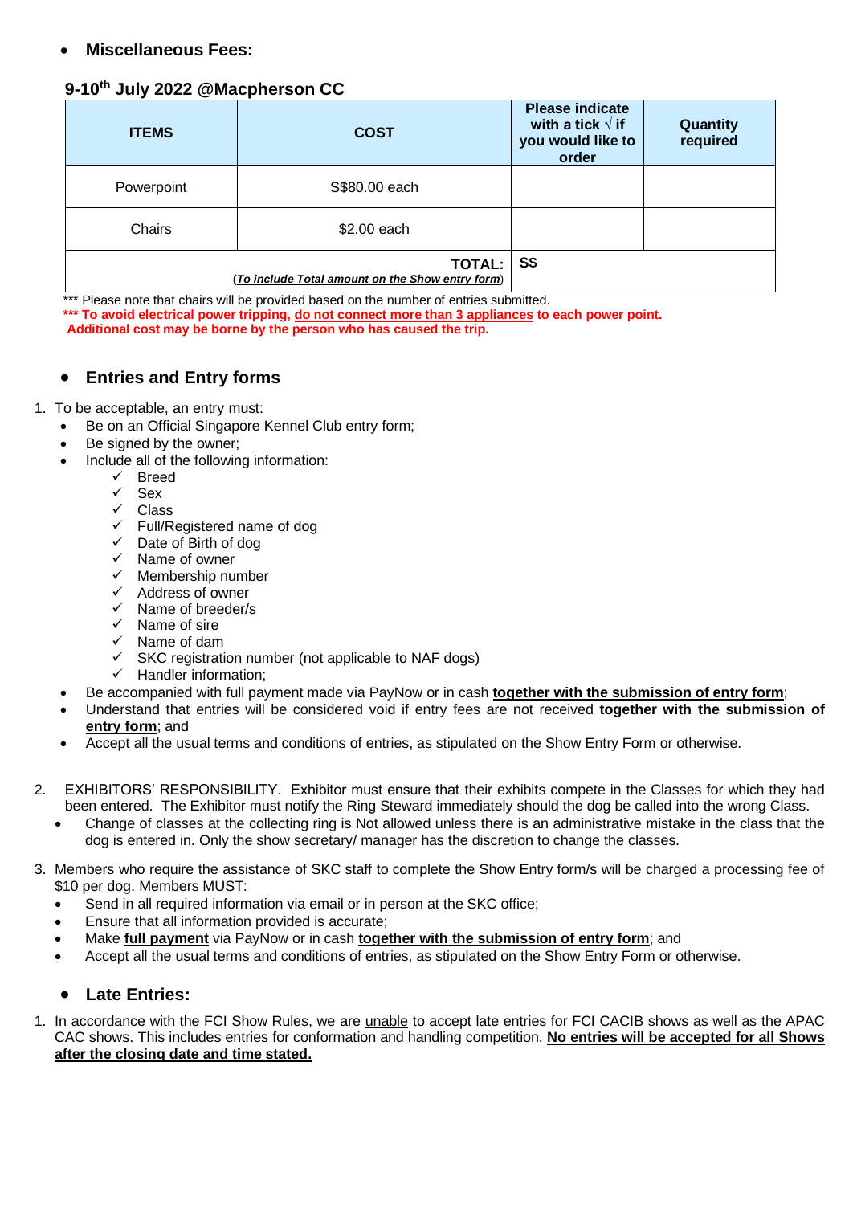## • **Miscellaneous Fees:**

## **9-10th July 2022 @Macpherson CC**

| <b>ITEMS</b> | <b>COST</b>                                                       | <b>Please indicate</b><br>with a tick $\sqrt{ }$ if<br>you would like to<br>order | Quantity<br>required |
|--------------|-------------------------------------------------------------------|-----------------------------------------------------------------------------------|----------------------|
| Powerpoint   | S\$80.00 each                                                     |                                                                                   |                      |
| Chairs       | \$2.00 each                                                       |                                                                                   |                      |
|              | <b>TOTAL:</b><br>(To include Total amount on the Show entry form) | S\$                                                                               |                      |

\*\*\* Please note that chairs will be provided based on the number of entries submitted.

**\*\*\* To avoid electrical power tripping, do not connect more than 3 appliances to each power point.**

 **Additional cost may be borne by the person who has caused the trip.** 

## • **Entries and Entry forms**

#### 1. To be acceptable, an entry must:

- Be on an Official Singapore Kennel Club entry form;
- Be signed by the owner;
- Include all of the following information:
	- ✓ Breed
	- ✓ Sex
	- ✓ Class
	- ✓ Full/Registered name of dog
	- ✓ Date of Birth of dog
	- $\checkmark$  Name of owner<br> $\checkmark$  Membership nu
	- Membership number
	- ✓ Address of owner
	- ✓ Name of breeder/s
	- ✓ Name of sire
	- ✓ Name of dam
	- ✓ SKC registration number (not applicable to NAF dogs)
	- Handler information:
	- Be accompanied with full payment made via PayNow or in cash **together with the submission of entry form**;
- Understand that entries will be considered void if entry fees are not received **together with the submission of entry form**; and
- Accept all the usual terms and conditions of entries, as stipulated on the Show Entry Form or otherwise.
- 2. EXHIBITORS' RESPONSIBILITY. Exhibitor must ensure that their exhibits compete in the Classes for which they had been entered. The Exhibitor must notify the Ring Steward immediately should the dog be called into the wrong Class.
	- Change of classes at the collecting ring is Not allowed unless there is an administrative mistake in the class that the dog is entered in. Only the show secretary/ manager has the discretion to change the classes.
- 3. Members who require the assistance of SKC staff to complete the Show Entry form/s will be charged a processing fee of \$10 per dog. Members MUST:
	- Send in all required information via email or in person at the SKC office;
	- Ensure that all information provided is accurate;
	- Make **full payment** via PayNow or in cash **together with the submission of entry form**; and
	- Accept all the usual terms and conditions of entries, as stipulated on the Show Entry Form or otherwise.

## • **Late Entries:**

1. In accordance with the FCI Show Rules, we are unable to accept late entries for FCI CACIB shows as well as the APAC CAC shows. This includes entries for conformation and handling competition. **No entries will be accepted for all Shows after the closing date and time stated.**